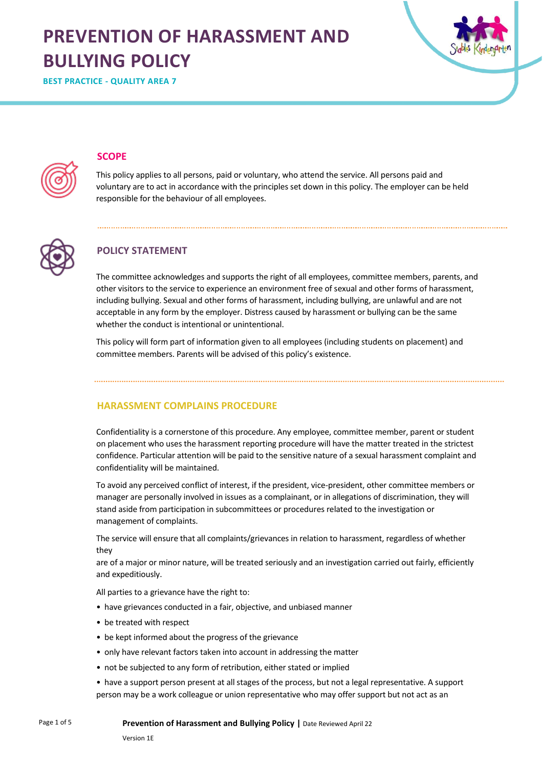# **PREVENTION OF HARASSMENT AND BULLYING POLICY**



**BEST PRACTICE - QUALITY AREA 7**

# **SCOPE**

This policy applies to all persons, paid or voluntary, who attend the service. All persons paid and voluntary are to act in accordance with the principles set down in this policy. The employer can be held responsible for the behaviour of all employees.



# **POLICY STATEMENT**

The committee acknowledges and supports the right of all employees, committee members, parents, and other visitors to the service to experience an environment free of sexual and other forms of harassment, including bullying. Sexual and other forms of harassment, including bullying, are unlawful and are not acceptable in any form by the employer. Distress caused by harassment or bullying can be the same whether the conduct is intentional or unintentional.

This policy will form part of information given to all employees (including students on placement) and committee members. Parents will be advised of this policy's existence.

**HARASSMENT COMPLAINS PROCEDURE**

Confidentiality is a cornerstone of this procedure. Any employee, committee member, parent or student on placement who uses the harassment reporting procedure will have the matter treated in the strictest confidence. Particular attention will be paid to the sensitive nature of a sexual harassment complaint and confidentiality will be maintained.

To avoid any perceived conflict of interest, if the president, vice-president, other committee members or manager are personally involved in issues as a complainant, or in allegations of discrimination, they will stand aside from participation in subcommittees or procedures related to the investigation or management of complaints.

The service will ensure that all complaints/grievances in relation to harassment, regardless of whether they

are of a major or minor nature, will be treated seriously and an investigation carried out fairly, efficiently and expeditiously.

All parties to a grievance have the right to:

- have grievances conducted in a fair, objective, and unbiased manner
- be treated with respect
- be kept informed about the progress of the grievance
- only have relevant factors taken into account in addressing the matter
- not be subjected to any form of retribution, either stated or implied
- have a support person present at all stages of the process, but not a legal representative. A support person may be a work colleague or union representative who may offer support but not act as an

**Prevention of Harassment and Bullying Policy |** Date Reviewed April 22

Page 1 of 5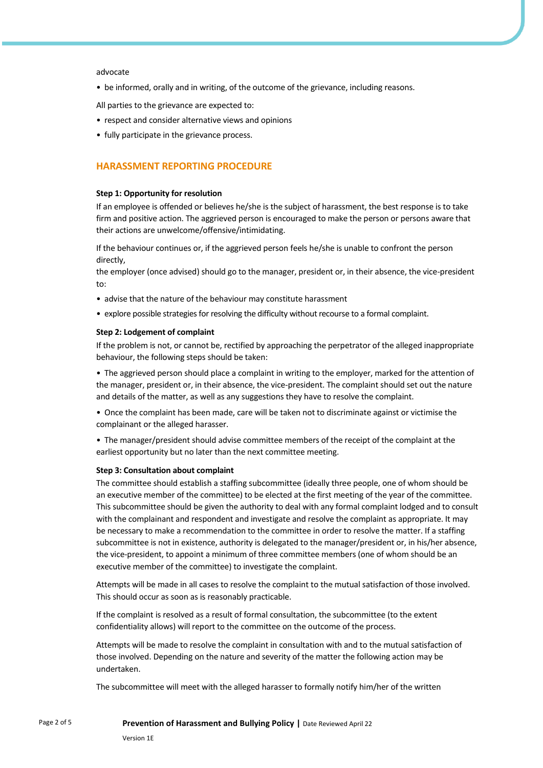#### advocate

• be informed, orally and in writing, of the outcome of the grievance, including reasons.

All parties to the grievance are expected to:

- respect and consider alternative views and opinions
- fully participate in the grievance process.

## **HARASSMENT REPORTING PROCEDURE**

#### **Step 1: Opportunity for resolution**

If an employee is offended or believes he/she is the subject of harassment, the best response is to take firm and positive action. The aggrieved person is encouraged to make the person or persons aware that their actions are unwelcome/offensive/intimidating.

If the behaviour continues or, if the aggrieved person feels he/she is unable to confront the person directly,

the employer (once advised) should go to the manager, president or, in their absence, the vice-president to:

- advise that the nature of the behaviour may constitute harassment
- explore possible strategies for resolving the difficulty without recourse to a formal complaint.

#### **Step 2: Lodgement of complaint**

If the problem is not, or cannot be, rectified by approaching the perpetrator of the alleged inappropriate behaviour, the following steps should be taken:

• The aggrieved person should place a complaint in writing to the employer, marked for the attention of the manager, president or, in their absence, the vice-president. The complaint should set out the nature and details of the matter, as well as any suggestions they have to resolve the complaint.

• Once the complaint has been made, care will be taken not to discriminate against or victimise the complainant or the alleged harasser.

• The manager/president should advise committee members of the receipt of the complaint at the earliest opportunity but no later than the next committee meeting.

#### **Step 3: Consultation about complaint**

The committee should establish a staffing subcommittee (ideally three people, one of whom should be an executive member of the committee) to be elected at the first meeting of the year of the committee. This subcommittee should be given the authority to deal with any formal complaint lodged and to consult with the complainant and respondent and investigate and resolve the complaint as appropriate. It may be necessary to make a recommendation to the committee in order to resolve the matter. If a staffing subcommittee is not in existence, authority is delegated to the manager/president or, in his/her absence, the vice-president, to appoint a minimum of three committee members (one of whom should be an executive member of the committee) to investigate the complaint.

Attempts will be made in all cases to resolve the complaint to the mutual satisfaction of those involved. This should occur as soon as is reasonably practicable.

If the complaint is resolved as a result of formal consultation, the subcommittee (to the extent confidentiality allows) will report to the committee on the outcome of the process.

Attempts will be made to resolve the complaint in consultation with and to the mutual satisfaction of those involved. Depending on the nature and severity of the matter the following action may be undertaken.

The subcommittee will meet with the alleged harasser to formally notify him/her of the written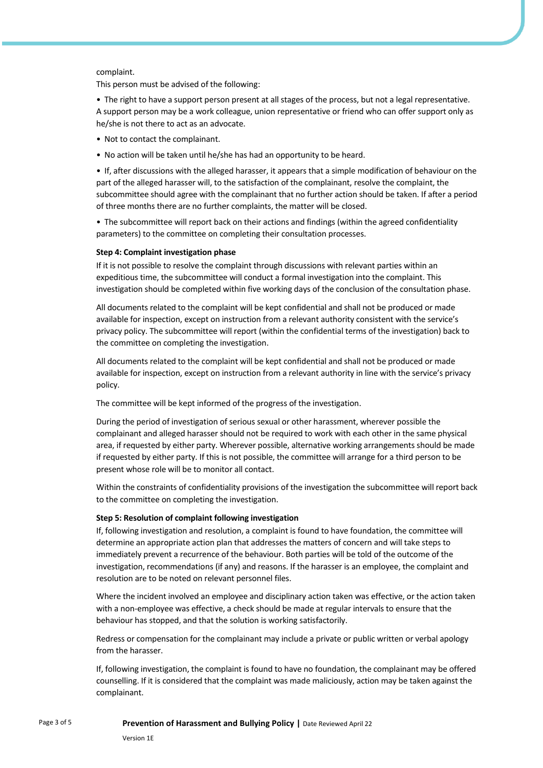### complaint.

This person must be advised of the following:

• The right to have a support person present at all stages of the process, but not a legal representative. A support person may be a work colleague, union representative or friend who can offer support only as he/she is not there to act as an advocate.

- Not to contact the complainant.
- No action will be taken until he/she has had an opportunity to be heard.

• If, after discussions with the alleged harasser, it appears that a simple modification of behaviour on the part of the alleged harasser will, to the satisfaction of the complainant, resolve the complaint, the subcommittee should agree with the complainant that no further action should be taken. If after a period of three months there are no further complaints, the matter will be closed.

• The subcommittee will report back on their actions and findings (within the agreed confidentiality parameters) to the committee on completing their consultation processes.

#### **Step 4: Complaint investigation phase**

If it is not possible to resolve the complaint through discussions with relevant parties within an expeditious time, the subcommittee will conduct a formal investigation into the complaint. This investigation should be completed within five working days of the conclusion of the consultation phase.

All documents related to the complaint will be kept confidential and shall not be produced or made available for inspection, except on instruction from a relevant authority consistent with the service's privacy policy. The subcommittee will report (within the confidential terms of the investigation) back to the committee on completing the investigation.

All documents related to the complaint will be kept confidential and shall not be produced or made available for inspection, except on instruction from a relevant authority in line with the service's privacy policy.

The committee will be kept informed of the progress of the investigation.

During the period of investigation of serious sexual or other harassment, wherever possible the complainant and alleged harasser should not be required to work with each other in the same physical area, if requested by either party. Wherever possible, alternative working arrangements should be made if requested by either party. If this is not possible, the committee will arrange for a third person to be present whose role will be to monitor all contact.

Within the constraints of confidentiality provisions of the investigation the subcommittee will report back to the committee on completing the investigation.

#### **Step 5: Resolution of complaint following investigation**

If, following investigation and resolution, a complaint is found to have foundation, the committee will determine an appropriate action plan that addresses the matters of concern and will take steps to immediately prevent a recurrence of the behaviour. Both parties will be told of the outcome of the investigation, recommendations (if any) and reasons. If the harasser is an employee, the complaint and resolution are to be noted on relevant personnel files.

Where the incident involved an employee and disciplinary action taken was effective, or the action taken with a non-employee was effective, a check should be made at regular intervals to ensure that the behaviour has stopped, and that the solution is working satisfactorily.

Redress or compensation for the complainant may include a private or public written or verbal apology from the harasser.

If, following investigation, the complaint is found to have no foundation, the complainant may be offered counselling. If it is considered that the complaint was made maliciously, action may be taken against the complainant.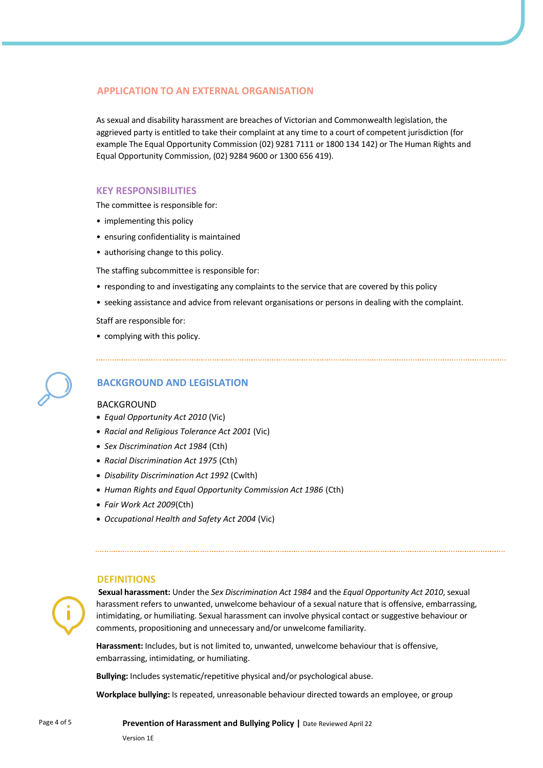# **APPLICATION TO AN EXTERNAL ORGANISATION**

As sexual and disability harassment are breaches of Victorian and Commonwealth legislation, the aggrieved party is entitled to take their complaint at any time to a court of competent jurisdiction (for example The Equal Opportunity Commission (02) 9281 7111 or 1800 134 142) or The Human Rights and Equal Opportunity Commission, (02) 9284 9600 or 1300 656 419).

### **KEY RESPONSIBILITIES**

The committee is responsible for:

- implementing this policy
- ensuring confidentiality is maintained
- authorising change to this policy.

The staffing subcommittee is responsible for:

- responding to and investigating any complaints to the service that are covered by this policy
- seeking assistance and advice from relevant organisations or persons in dealing with the complaint.

Staff are responsible for:

• complying with this policy.

# **BACKGROUND AND LEGISLATION**

#### BACKGROUND

- *Equal Opportunity Act 2010* (Vic)
- *Racial and Religious Tolerance Act 2001* (Vic)
- *Sex Discrimination Act 1984* (Cth)
- *Racial Discrimination Act 1975* (Cth)
- *Disability Discrimination Act 1992* (Cwlth)
- *Human Rights and Equal Opportunity Commission Act 1986* (Cth)
- *Fair Work Act 2009*(Cth)
- *Occupational Health and Safety Act 2004* (Vic)

#### **DEFINITIONS**

**Sexual harassment:** Under the *Sex Discrimination Act 1984* and the *Equal Opportunity Act 2010*, sexual harassment refers to unwanted, unwelcome behaviour of a sexual nature that is offensive, embarrassing, intimidating, or humiliating. Sexual harassment can involve physical contact or suggestive behaviour or comments, propositioning and unnecessary and/or unwelcome familiarity.

**Harassment:** Includes, but is not limited to, unwanted, unwelcome behaviour that is offensive, embarrassing, intimidating, or humiliating.

**Bullying:** Includes systematic/repetitive physical and/or psychological abuse.

**Workplace bullying:** Is repeated, unreasonable behaviour directed towards an employee, or group